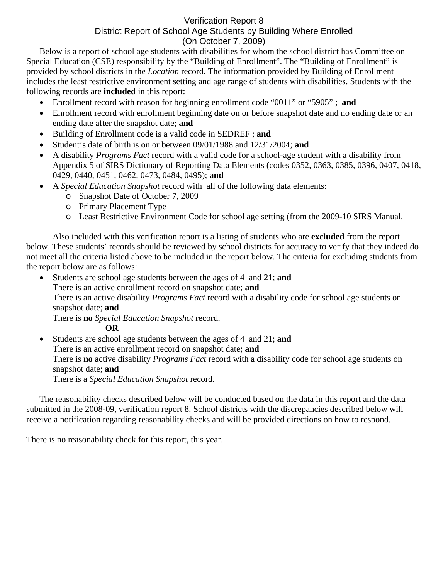## Verification Report 8 District Report of School Age Students by Building Where Enrolled (On October 7, 2009)

Below is a report of school age students with disabilities for whom the school district has Committee on Special Education (CSE) responsibility by the "Building of Enrollment". The "Building of Enrollment" is provided by school districts in the *Location* record. The information provided by Building of Enrollment includes the least restrictive environment setting and age range of students with disabilities. Students with the following records are **included** in this report:

- Enrollment record with reason for beginning enrollment code "0011" or "5905" ; **and**
- Enrollment record with enrollment beginning date on or before snapshot date and no ending date or an ending date after the snapshot date; **and**
- Building of Enrollment code is a valid code in SEDREF ; **and**
- Student's date of birth is on or between 09/01/1988 and 12/31/2004; **and**
- A disability *Programs Fact* record with a valid code for a school-age student with a disability from Appendix 5 of SIRS Dictionary of Reporting Data Elements (codes 0352, 0363, 0385, 0396, 0407, 0418, 0429, 0440, 0451, 0462, 0473, 0484, 0495); **and**
- A *Special Education Snapshot* record with all of the following data elements:
	- o Snapshot Date of October 7, 2009
	- o Primary Placement Type
	- o Least Restrictive Environment Code for school age setting (from the 2009-10 SIRS Manual.

Also included with this verification report is a listing of students who are **excluded** from the report below. These students' records should be reviewed by school districts for accuracy to verify that they indeed do not meet all the criteria listed above to be included in the report below. The criteria for excluding students from the report below are as follows:

• Students are school age students between the ages of 4 and 21; **and** There is an active enrollment record on snapshot date; **and** There is an active disability *Programs Fact* record with a disability code for school age students on snapshot date; **and**  There is **no** *Special Education Snapshot* record. **OR** 

• Students are school age students between the ages of 4 and 21; **and**  There is an active enrollment record on snapshot date; **and** There is **no** active disability *Programs Fact* record with a disability code for school age students on snapshot date; **and**  There is a *Special Education Snapshot* record.

The reasonability checks described below will be conducted based on the data in this report and the data submitted in the 2008-09, verification report 8. School districts with the discrepancies described below will receive a notification regarding reasonability checks and will be provided directions on how to respond.

There is no reasonability check for this report, this year.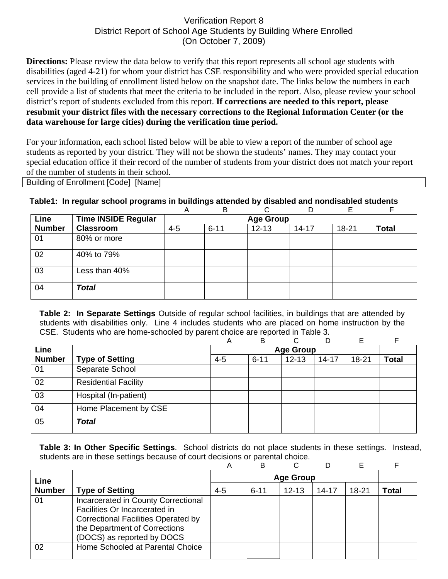## Verification Report 8 District Report of School Age Students by Building Where Enrolled (On October 7, 2009)

**Directions:** Please review the data below to verify that this report represents all school age students with disabilities (aged 4-21) for whom your district has CSE responsibility and who were provided special education services in the building of enrollment listed below on the snapshot date. The links below the numbers in each cell provide a list of students that meet the criteria to be included in the report. Also, please review your school district's report of students excluded from this report. **If corrections are needed to this report, please resubmit your district files with the necessary corrections to the Regional Information Center (or the data warehouse for large cities) during the verification time period.**

For your information, each school listed below will be able to view a report of the number of school age students as reported by your district. They will not be shown the students' names. They may contact your special education office if their record of the number of students from your district does not match your report of the number of students in their school.

Building of Enrollment [Code] [Name]

## **Table1: In regular school programs in buildings attended by disabled and nondisabled students**

|               |                            | A       | B        |           |           |       |              |
|---------------|----------------------------|---------|----------|-----------|-----------|-------|--------------|
| Line          | <b>Time INSIDE Regular</b> |         |          |           |           |       |              |
| <b>Number</b> | <b>Classroom</b>           | $4 - 5$ | $6 - 11$ | $12 - 13$ | $14 - 17$ | 18-21 | <b>Total</b> |
| 01            | 80% or more                |         |          |           |           |       |              |
| 02            | 40% to 79%                 |         |          |           |           |       |              |
| 03            | Less than 40%              |         |          |           |           |       |              |
| 04            | <b>Total</b>               |         |          |           |           |       |              |

**Table 2: In Separate Settings** Outside of regular school facilities, in buildings that are attended by students with disabilities only. Line 4 includes students who are placed on home instruction by the CSE. Students who are home-schooled by parent choice are reported in Table 3.

|               |                             | А       | B                | ⌒         |           | E         | F            |  |
|---------------|-----------------------------|---------|------------------|-----------|-----------|-----------|--------------|--|
| Line          |                             |         | <b>Age Group</b> |           |           |           |              |  |
| <b>Number</b> | <b>Type of Setting</b>      | $4 - 5$ | $6 - 11$         | $12 - 13$ | $14 - 17$ | $18 - 21$ | <b>Total</b> |  |
| 01            | Separate School             |         |                  |           |           |           |              |  |
| 02            | <b>Residential Facility</b> |         |                  |           |           |           |              |  |
| 03            | Hospital (In-patient)       |         |                  |           |           |           |              |  |
| 04            | Home Placement by CSE       |         |                  |           |           |           |              |  |
| 05            | <b>Total</b>                |         |                  |           |           |           |              |  |

**Table 3: In Other Specific Settings**. School districts do not place students in these settings. Instead, students are in these settings because of court decisions or parental choice.

|               |                                                                                                                                                                                   | Α       | B        |           |       |       |       |
|---------------|-----------------------------------------------------------------------------------------------------------------------------------------------------------------------------------|---------|----------|-----------|-------|-------|-------|
| Line          |                                                                                                                                                                                   |         |          |           |       |       |       |
| <b>Number</b> | <b>Type of Setting</b>                                                                                                                                                            | $4 - 5$ | $6 - 11$ | $12 - 13$ | 14-17 | 18-21 | Total |
| 01            | Incarcerated in County Correctional<br>Facilities Or Incarcerated in<br><b>Correctional Facilities Operated by</b><br>the Department of Corrections<br>(DOCS) as reported by DOCS |         |          |           |       |       |       |
| 02            | Home Schooled at Parental Choice                                                                                                                                                  |         |          |           |       |       |       |